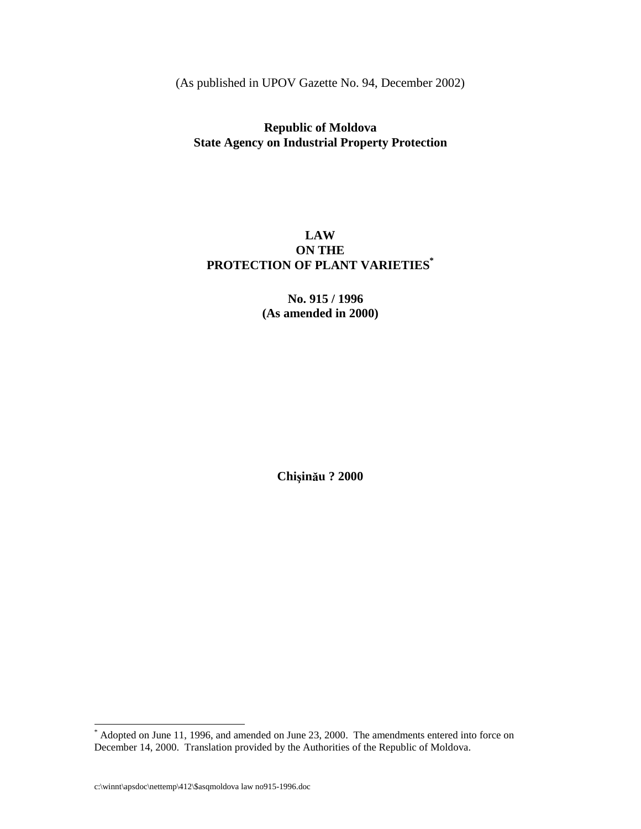(Aspublished in UPOV Gazette No. 94, December 2002)

# **Republic of Moldova State Agency on Industrial Property Protection**

# **LAW ONTHE PROTECTION OF PLANT VARIETIES \***

### **No. 915 / 1996 (As amended in 2000)**

**Chiin-u ? 2000**

 $*$ Adopted on June 11, 1996, and amended on June 23, 2000. The amend ments entered into force on December 14, 2000. Translation provided by the Authorities of the Republic of Moldova.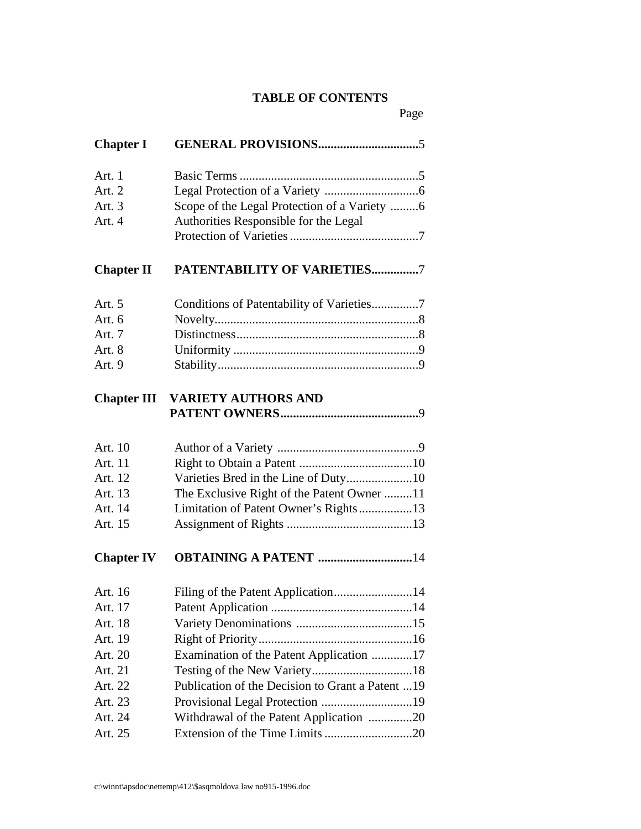# **TABLE OF CONTENTS**

Page

| <b>ChapterI</b>   |                                                  |
|-------------------|--------------------------------------------------|
| Art.1             |                                                  |
| Art.2             |                                                  |
| Art.3             | ScopeoftheLegalProtectionofaVariety 6            |
| Art.4             | AuthoritiesResponsiblefortheLegal                |
|                   |                                                  |
| <b>ChapterII</b>  | PATENTABILITYOFVARIETIES 7                       |
| Art.5             |                                                  |
| Art.6             |                                                  |
| Art.7             |                                                  |
| Art.8             |                                                  |
| Art.9             |                                                  |
| <b>ChapterIII</b> | <b>VARIETYAUTHORSAND</b>                         |
|                   |                                                  |
| Art.10            |                                                  |
| Art.11            |                                                  |
| Art.12            | VarietiesBredintheLineofDuty 10                  |
| Art.13            | TheExclusiveRightofthePatentOwner 11             |
| Art.14            | LimitationofPatentOwner'sRights 13               |
| Art.15            |                                                  |
| <b>ChapterIV</b>  | <b>OBTAININGAPATENT</b> 14                       |
| Art.16            |                                                  |
| Art.17            |                                                  |
| Art.18            |                                                  |
| Art.19            |                                                  |
| Art.20            | ExaminationofthePatentApplication 17             |
| Art.21            |                                                  |
| Art. $22$         | Publication of the Decision to Granta Patent  19 |
| Art.23            |                                                  |
| Art.24            | WithdrawalofthePatentApplication 20              |
| Art.25            |                                                  |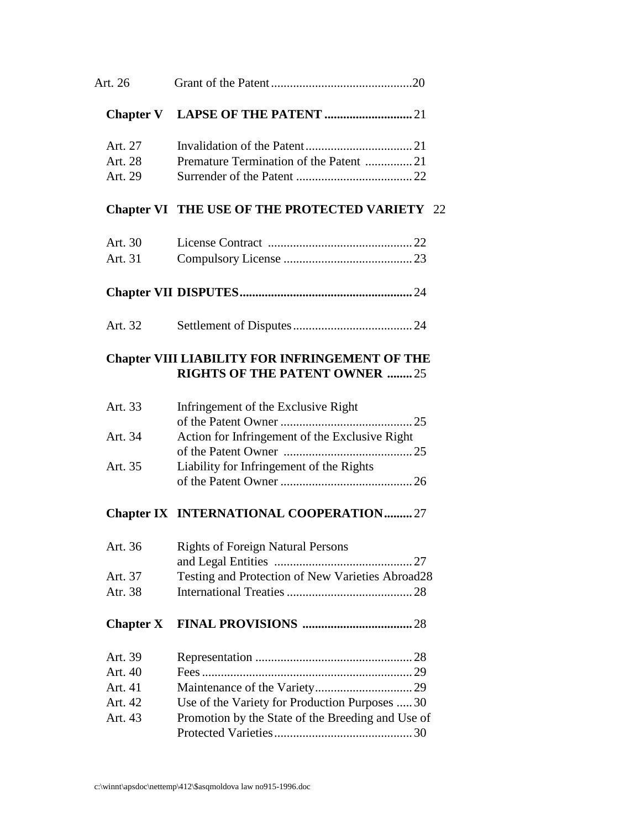| Art.26                     |                                                                               |    |
|----------------------------|-------------------------------------------------------------------------------|----|
| <b>ChapterV</b>            |                                                                               |    |
| Art.27<br>Art.28<br>Art.29 | PrematureTerminationofthePatent 21                                            |    |
| ChapterVI                  | <b>THEUSEOFTHEPROTECTEDVARIETY</b>                                            | 22 |
| Art.30                     |                                                                               |    |
| Art.31                     |                                                                               |    |
|                            |                                                                               |    |
| Art.32                     |                                                                               |    |
|                            | ChapterVIII LIABILITYFORINFRINGEMENTOFTHE<br><b>RIGHTSOFTHEPATENTOWNER</b> 25 |    |
| Art. $33$                  | Infringement of the Exclusive Right                                           |    |
| Art.34                     | ActionforInfringementoftheExclusiveRight                                      |    |
| Art. $35$                  | LiabilityforInfringementoftheRights                                           |    |
| <b>ChapterIX</b>           | INTERNATIONALCOOPERATION 27                                                   |    |
| Art.36                     | <b>RightsofForeignNaturalPersons</b>                                          |    |
| Art.37                     | andLegalEntities<br>TestingandProtectionofNewVarietiesAbroad<br>28            |    |
| Atr.38                     |                                                                               |    |
| <b>ChapterX</b>            |                                                                               |    |
| Art.39                     |                                                                               |    |
| Art. $40$                  |                                                                               |    |
| Art.41                     |                                                                               |    |
| Art.42                     | UseoftheVarietyforProductionPurposes 30                                       |    |
| Art.43                     | PromotionbytheStateoftheBreedingandUseof                                      |    |
|                            |                                                                               |    |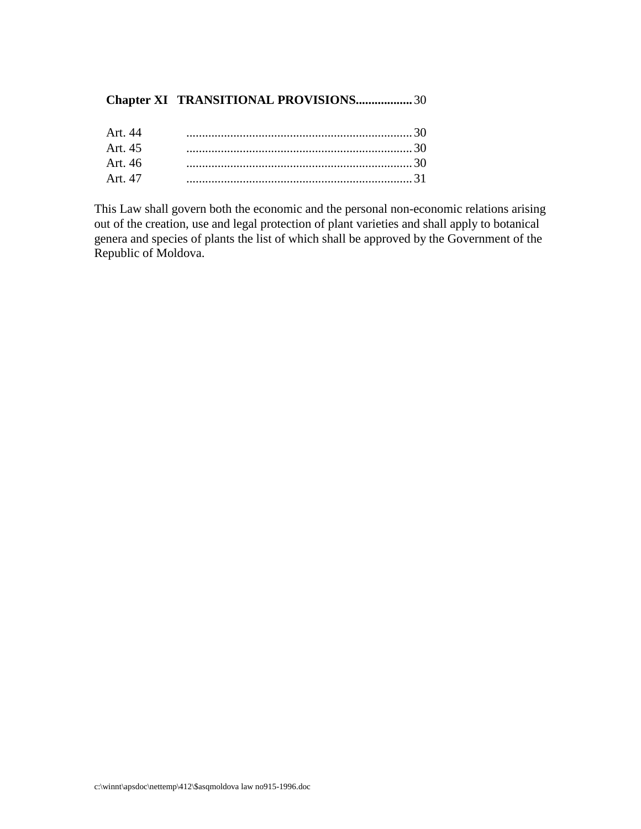# **Chapter XI TRANSITIONAL PROVISIONS ..................** 30

This Law shall govern both the economic and the personal non -economic relations arising out of the creation, use and legal protection of plant varieties and shall apply to botanical genera and species of plants the list of which shall be approved by the Government of the RepublicofMoldova.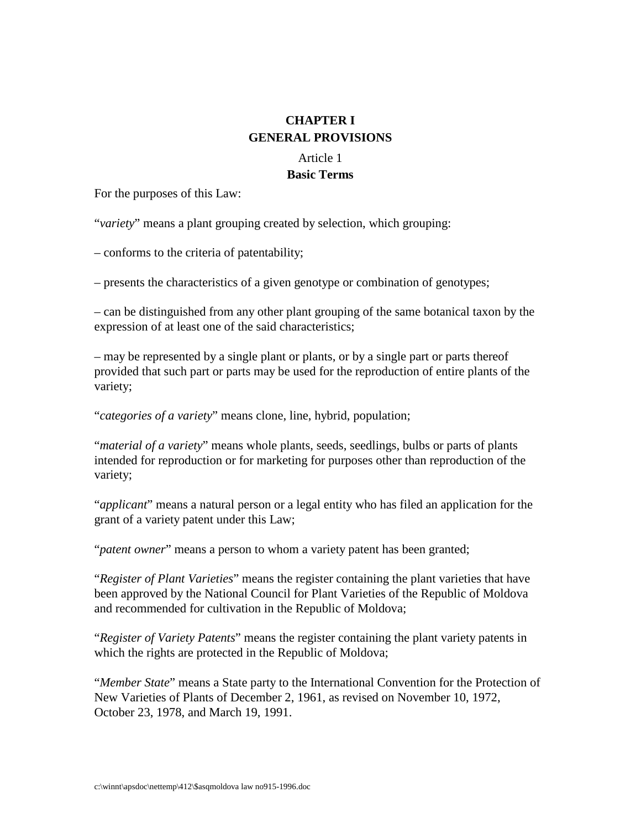# **CHAPTERI GENERAL PROVISIONS**

# Article 1

# **Basic Terms**

For the purposes of this Law:

"*variety*" means a plant grouping created by selection, which grouping:

– conforms to the criteria of patentability;

 $-p$ resents the characteristics of a given genotype or combination of genotypes;

– can be distinguished from any other plant grouping of the same botanical taxon by the expression of at least one of the said characteristics;

– may be represented by a single plant or plants, or by a single part or parts thereof provided that such part or parts may be used for the reproduction of entire plants of the variety;

"*categories of a variety* "meansclone, line, hybrid, population;

"*material of a variety* "means whole plants, seeds, seedlings, bulbs or parts of plants intended for reproduction or for marketing for purposes other than reproduction of the variety;

"*applicant*" means ana tural person or a legal entity who has filed an application for the grant of a variety patent under this Law;

"*patentowner*" meansapersontowhom a variety patent has been granted;

"*Register of Plant Varieties* "means the register containing the plant varieties that have been approved by the National Council for Plant Varieties of the Republic of Moldova and recommended for cultivation in the Republic of Moldova;

"*Register of Variety Patents* " means the register containing the plant variety patents in which the rights are protected in the Republic of Moldova;

"*Member State* " means a State party to the International Convention for the Protection of New Varieties of Plants of December 2, 1961, as revised on November 10, 1972, October 23, 1978, and March 19, 1991.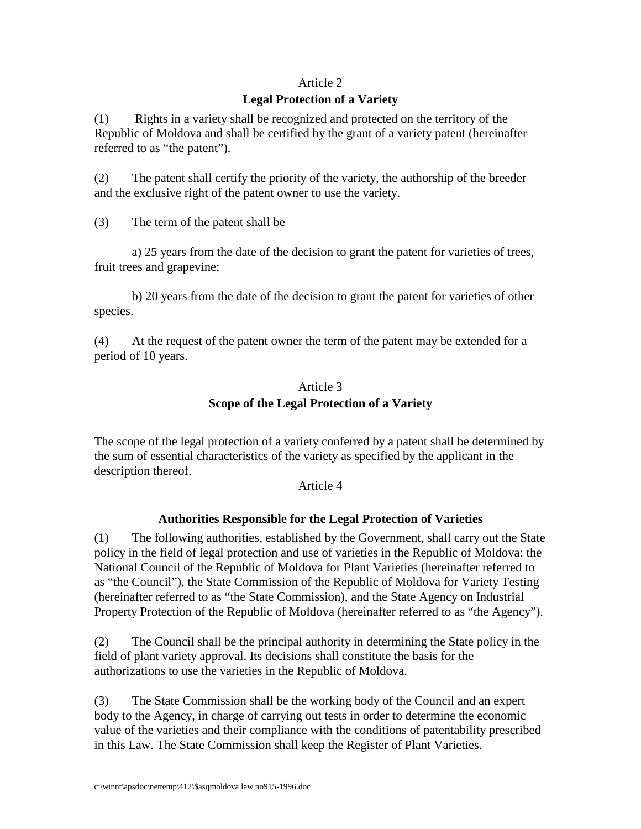# Article<sub>2</sub>

#### **Legal Protection of a Variety**

(1) Rights in a variety shall be recognized and protected on the territory of the Republic of Moldova and shall be certified by the grant of a variety patent (hereinafter referred to as "the patent").

(2) The patent shall certify the priority of the variety, the authorship of the breeder and the exclusive right of the patent owner to use the variety.

(3) The term of the patent shall be

a) 25 years from the date of the decision to grant the patent for varieties of trees, fruit trees and grapevine;

b) 20 years from the date of the decision to grant the patent for varieties of other species.

(4) Atthe request of the patent owner the term of the patent may be extended for a period of 10 years.

# Article 3 **Scope of the Legal Protection of a Variety**

The scope of the legal protection of a variety conferred by a patent shall be determined by the sum of essential characteristics of the variety as specified by the applicant in the description thereof.

Article<sub>4</sub>

# **Authorities Responsible for the Legal Protection of Varieties**

(1) The following authorities, established by the Government, shall carry out the State policy in the field of legal protection and use of varieties in the Republic of Moldova: the National C ouncil of the Republic of Moldova for Plant Varieties (hereinafter referred to as "the Council"), the State Commission of the Republic of Moldova for Variety Testing (hereinafter referred to as "the State Commission), and the State Agency on Industrial PropertyProtection of the Republic of Moldova (hereinafter referred to as "the Agency").

(2) The Council shall be the principal authority in determining the State policy in the field of plant variety approval. Its decisions shall constitute the basis for the extended of the extended  $\epsilon$ authorizations to use the varieties in the Republic of Moldova.

(3) The State Commission shall be the working body of the Council and an expert bodyto the Agency, incharge of carrying out tests in order to determine the economic value of the varieties and their compliance with the conditions of patentability prescribed inthis Law. The State Commission shall keep the Register of Plant Varieties.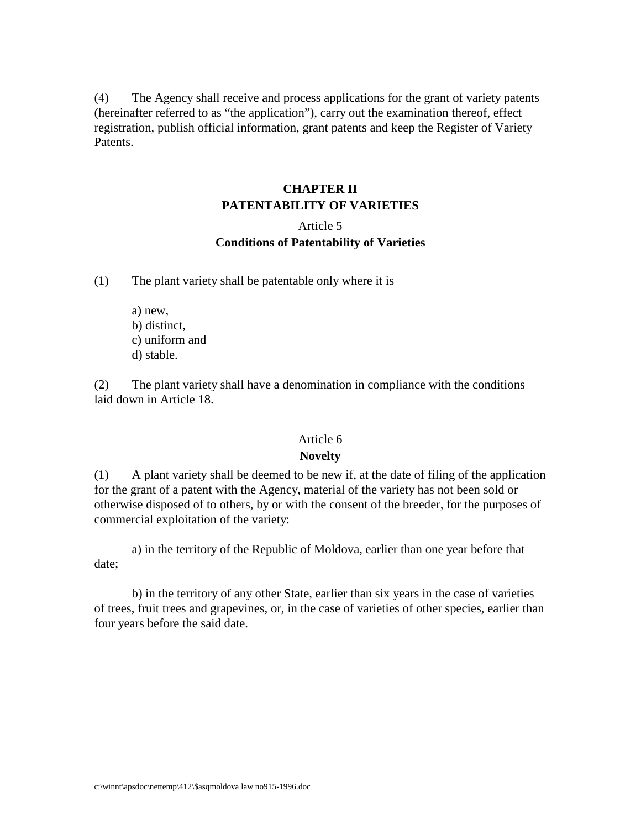(4) The Agency shall receive and process applications for the grant of variety patents (hereinafterreferre dtoas "the application"), carry out the examination thereof, effect registration, publish of ficial information, grant patents and keep the Register of Variety Patents.

# **CHAPTERII PATENTABILITY OF VARIETIES**

# Article<sub>5</sub> **Conditions of Patentability of Varieties**

(1) The plant variety shall be patentable only where it is

a) new, b) distinct, c) uniform and d) stable.

(2) The plant variety shall have a denomination in compliance with the conditions laiddown in Article 18.

#### Article<sub>6</sub>

# **Novelty**

(1) A planty ariety shall be deemed to be new if, at the date of filing of the application for the grant of a patent with the Agency, material of the variety has not been sold or otherwisedisposed of toothers, by or with the consent of the breeder, for the purposes of commercial exploitation of the variety:

a) in the territory of the Republic of Moldova, earlier than one year before that date;

b) in the territory of any other State, earlier than six years in the case of varieties of trees, fruit trees and grapevin es, or, in the case of varieties of other species, earlier than four years before the said date.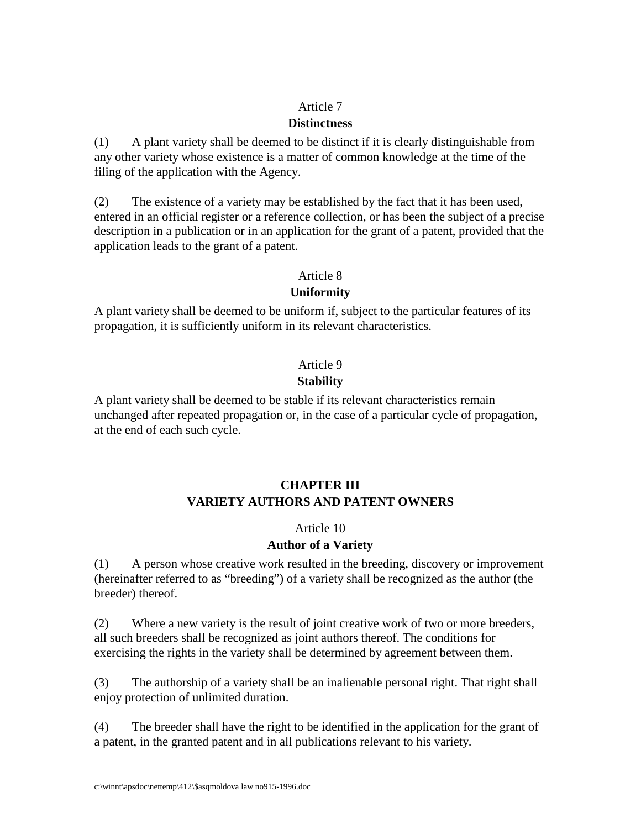#### Article<sub>7</sub>

### **Distinctness**

(1) A plant variety shall be deemed to be distinct if it is clearly distinguishable from any other variety whose existence is a matter of common knowled geat the time of the filing of the application with the Agency.

(2) The existence of a variety may be established by the fact that it has been used, entered in an official register or a reference collection, or has been the subject of a precise description in a publication or in an application for the grant of a patent, provided that the application leads to the grant of a patent.

#### Article 8

# **Uniformity**

A plant variety shall be deemed to be uniformif, subject to the particular features of its propagation, it is sufficiently uniform in its relevant characteristics.

# Article<sub>9</sub>

# **Stability**

A plant variety shall be deemed to be stable if its relevant characteristics remain unchanged after repeated propagation or, in the case of a particular cyc le of propagation, at the end of each such cycle.

# **CHAPTERIII VARIETYAUTHORSANDPATENTOWNERS**

# Article 10

# **Author of a Variety**

(1) A person whose creative work resulted in the breeding, discovery or improvement (hereinafter referred to as "breeding") of a variety shall be recognized as the author (the breeder) thereof.

(2) Where a new variety is the result of joint creative work of two or more breeders, all such breeders shall be recognized as joint authors thereof. The conditions for exercising the right sinthe variety shall be determined by agreement between them.

(3) The authorship of a variety shall be an inalienable personal right. That rightshall enjoy protection of unlimited duration.

(4) The breeder shall have the right to be identified in the application for the grant of apatent, in the granted patent and in all publications relevant to his variety.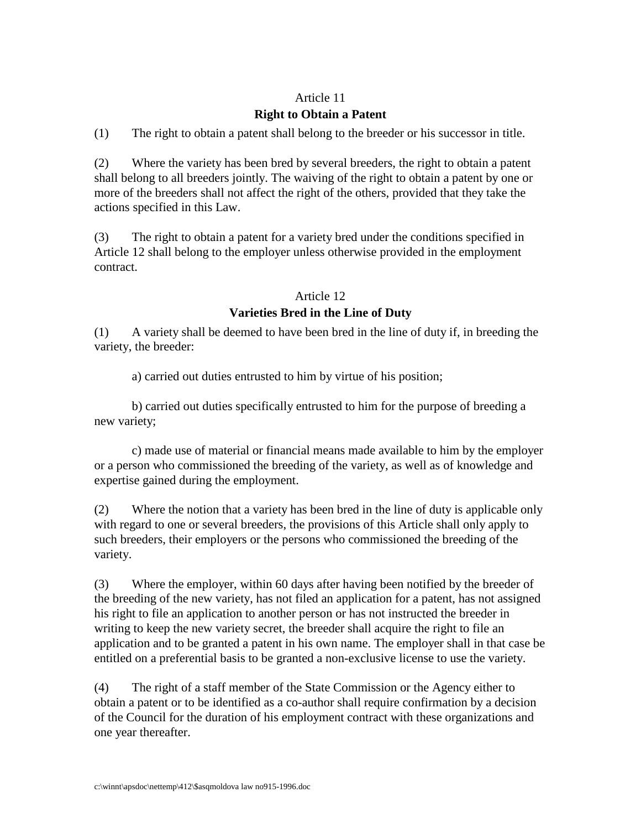# Article 11

# **Right to Obtain a Patent**

(1) The right to obtain a patent shall belong to the breeder or his success or in title.

(2) Where the variet y has been bred by several breeders, the right to obtain a patent shall belong to all breeders jointly. The waiving of the right to obtain a patent by one or more of the breeders shall not affect the right of the others, provided that they take the actions specified in this Law.

(3) The right to obtain a patent for a variety bred under the conditions specified in Article 12 shall belong to the employer unless otherwise provided in the employment contract.

#### Article 12

# **Varieties Bred in the Line of Duty**

(1) A variety shall be deemed to have been bred in the line of duty if, in breeding the variety, the breeder:

a) carried outduties entrusted to him by virtue of his position;

b) carried out duties specifically entrusted to him for the purpose of breeding a new variety;

c) made use of material or financial means made available to him by the employer or a person who commissioned the breeding of the variety, as well as of knowledge and expertisegained during the employment.

(2) Where the notion that a variety has been bred in the line of duty is applicable only with regard to one or several breeders, the provisions of this Articleshall only apply to such breeders, their employers or the persons who commissioned the breeding of the variety.

(3) Where the employer, within 60 days after having been notified by the breeder of the breeding of the new variety, has not filed an application for a patent, has not assigned his right to file an application to another person or has not instructed the breeder in writing to keep the new variety secret, the breedershall acquire the right to file an application and to be granted a patent in his own name. The employers hall in that case be entitled on a preferential basis to be granted a non-exclusive license to use the variety.

(4) The right of a staff member of the State Commission or the Agency either to obtain a patent or to be identified as a composite rather shall require confirmation by a decision of the Council for the duration of his employment contract with the secretary in zations and one year thereafter.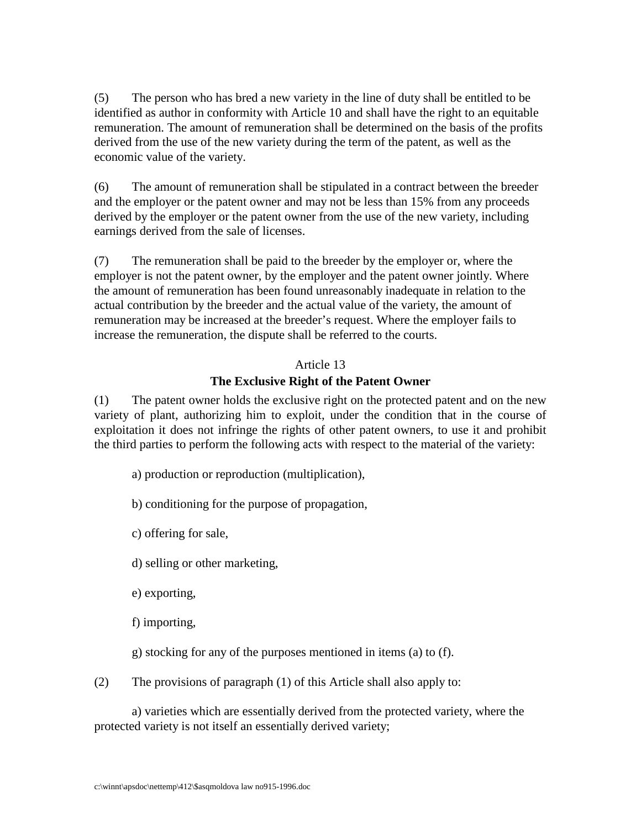(5) The person who has bred a new variety in the line of duty shall be entitled to be identified as authoric conformity with Article 10 and shall have the right to an equitable remuneration. The amount of remunerations hall be determined on the basis of the profits derived from the use of the new variety during the term of the patent, as well as the economic value of the variety.

(6) The amount of remuneration shall be stipulated in a contract between the breeder and the employer or the patent owner and may not be less than 15% from any proceeds derived by the employer or the patent owner from the use of the new variety, including earnings derived from the sale of licenses.

(7) The remuneration shall be paid to the breeder by the employer or, where the employer is not the patent owner, by the employer and the patent owner jointly. Where the amount of remuneration has been found unreasonably inadequate in relation to the actual contribution by the breeder and the actual va lue of the variety, the amount of remuneration may be increased at the breeder's request. Where the employer fails to increase the remuneration, the dispute shall be referred to the courts.

#### Article 13

# **The Exclusive Right of the Patent Owner**

(1) The patent owner holds the exclusive right on the protected patent and on the new variety of plant, authorizing him to exploit, under the condition that in the course of exploitation it does not infringe the rights of other patent owners, to use it and prohibit the third parties to perform the following acts with respect to the material of the variety:

a) production or reproduction (multiplication),

b) conditioning for the purpose of propagation,

c) offering for sale,

d) selling or other marketing,

e) exporting,

f) importing,

g) stocking for any of the purposes mentioned in items (a) to (f).

(2) The provisions of paragraph (1) of this Articleshall also apply to:

a) varieties which are essentially derived from the protected variety, where the protected variety is not itself an essentially derived variety;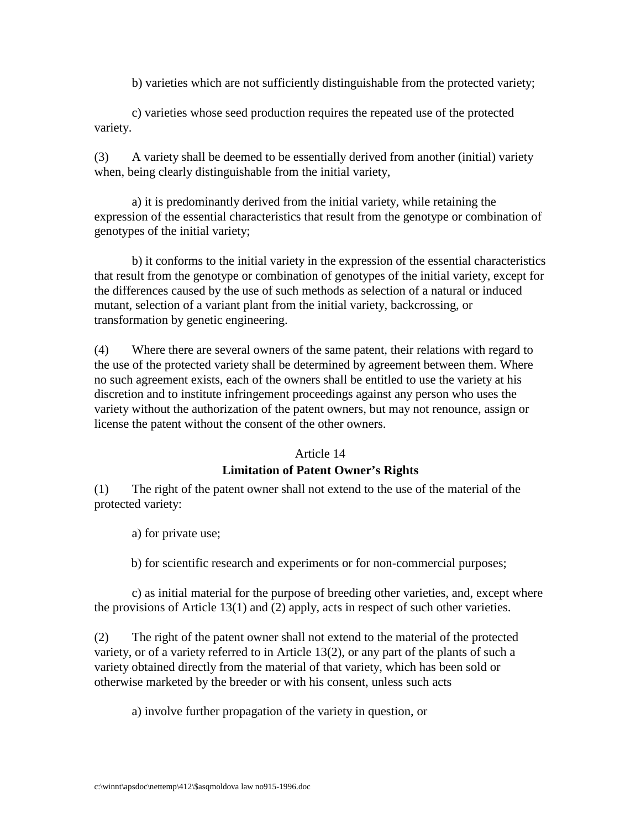b) varieties which are not sufficiently distinguishable from the protected variety;

c) varieties whose seed production requires the repeated use of the protected variety.

(3) A variety shall be deemed to be essentially derived from another (initial) variety when, being clearly distinguishable from the initial variety,

a) it is predominantly derived from the initial variety, while retaining the expression of the essential characteristics that re sult from the genotype or combination of genotypes of the initial variety;

b) it conforms to the initial variety in the expression of the essential characteristics that result from the genotype or combination of genotypes of the initial variety, except for the differences caused by the use of such methods as selection of a natural or induced mutant, selection of a variant plant from the initial variety, backcrossing, or transformation by genetic engineering.

(4) Where the rease veral owners of the same patent, their relations with regard to the use of the protected variety shall be determined by agreement between them. Where no such agreement exists, each of the owners shall be entitled to use the variety at his discretion and to institute infringement proceedings against any person who uses the variety without the authorization of the patent owners, but may not renounce, assign or license the patent without the consent of the other owners.

# Article 14

# **Limitation of Patent Owner's Rights**

(1) The right of the patent ownershall not extend to the use of the material of the protected variety:

a) for private use;

b) for scientific research and experiments or for non -commercial purposes;

c) as initial material for the purpose of breeding other varieties, and, except where the provisions of Article 13(1) and (2) apply, acts in respect of such other varieties.

(2) The right of the patent ownershall notextend to the material of the protected variety, or of a variety referred to in Article 13(2), or any par to fthe plants of such a variety obtained directly from the material of that variety, which has been sold or otherwise marketed by the breeder or with his consent, unless such acts

a) involve further propagation of the variety inquestion, or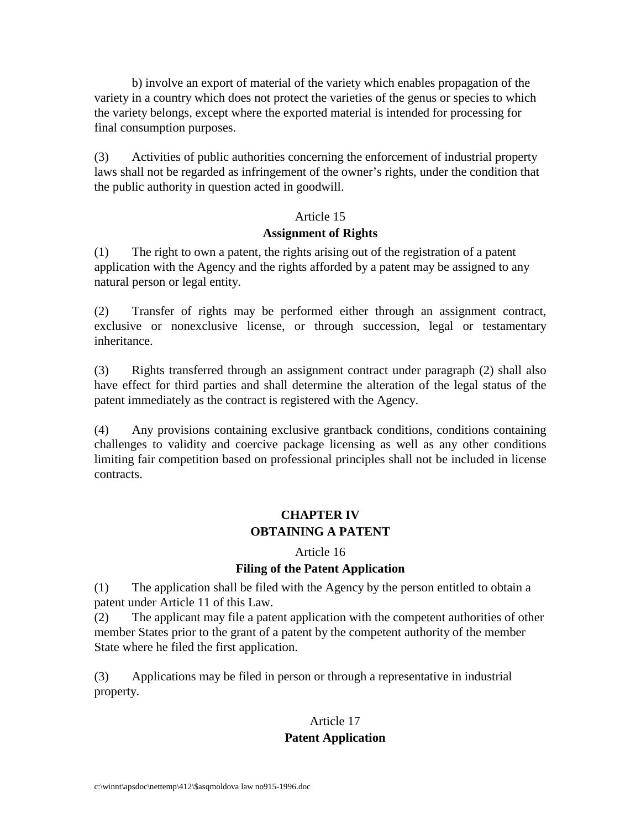b) involve an export of material of the variety which enables propagation of the variety in a country which does not protect the varieties of the genus or species to which the variety belongs, except where the exported material is intended for processing for final consumption purposes.

(3) Activities of public authorities concerning the enforcement of industrial property laws shall not be regarded as infringement of the owner's rights, under the condition that the public authority in question acted in good will.

#### Article 15

#### Assignment of Rights

(1) The right toom a patent, the rights arising out of the registration of a patent application with the Agency and the rights afforded by a patent may be assigned to any natural person or legal entity.

(2) Transfer of r ights may be performed either through an assignment contract, exclusive or nonexclusive license, or through succession, legal or testamentary inheritance.

(3) Rights transferred through an assignment contract under paragraph (2) shall also have effect for third parties and shall determine the alteration of the legal status of the patent immediately as the contract is registered with the Agency.

(4) Any provisions containing exclusive grantback conditions, conditions containing challenges to validity and coercive package licensing as well as any other conditions limiting fair competition based on professional principles shall not be included in license contracts.

# **CHAPTER IV OBTAININGAPATENT**

#### Article 16

# **Filing of the Patent Application**

(1) The application shall be filed with the Agency by the person entitled to obtain a patent under Article 11 of this Law.

(2) The applicant may file a patent application with the competent authorities of other member States prior to the grant of a patent by the competent authority of the member State where he filed the first application.

(3) Applications may be filed in person or through a representative in industrial property.

# Article 17

# **Patent Application**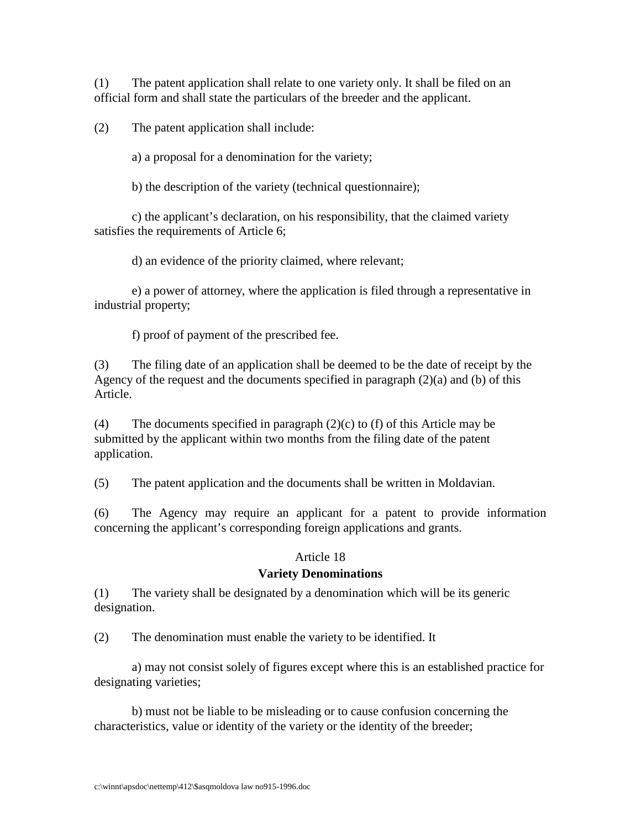(1) The patent application shall relate to one variety only. It shall be filed on an official form and shall state the particulars of the breeder and the applicant.

 $(2)$  The patent application shall include:

a) a proposal for a denomination for the variety;

b) the description of the variety (technical questionnai re);

c) the applicant's declaration, on his responsibility, that the claimed variety satisfies the requirements of Article 6;

d) an evidence of the priority claimed, where relevant;

e) a power of attorney, where the application is filed through a representative in industrial property;

f) proof of payment of the prescribed fee.

(3) The filing date of an applications hall be deemed to be the date of receipt by the Agency of the request and the documents specified in paragraph (2)(a) and (b) of this Article.

 $(4)$  The documents specified in paragraph  $(2)(c)$  to  $(f)$  of this Article may be submitted by the applicant within two months from the filing date of the patent application.

(5) The patent application and the documents shall be written in Moldavian.

(6) The Agency may require an applicant for a patent to provide information concerning the applicant's corresponding foreign applications and grants.

# Article 18

# **Variety Denominations**

(1) The variety shall be designated by a denomination which will beits generic designation.

(2) The denomination must enable the variety to be identified. It

a) may not consists olely of figures except where this is an established practice for designating varieties;

b) must not be liable to be misleading or to cause confusion concerning the characteristics, value or identity of the variety or the identity of the breeder;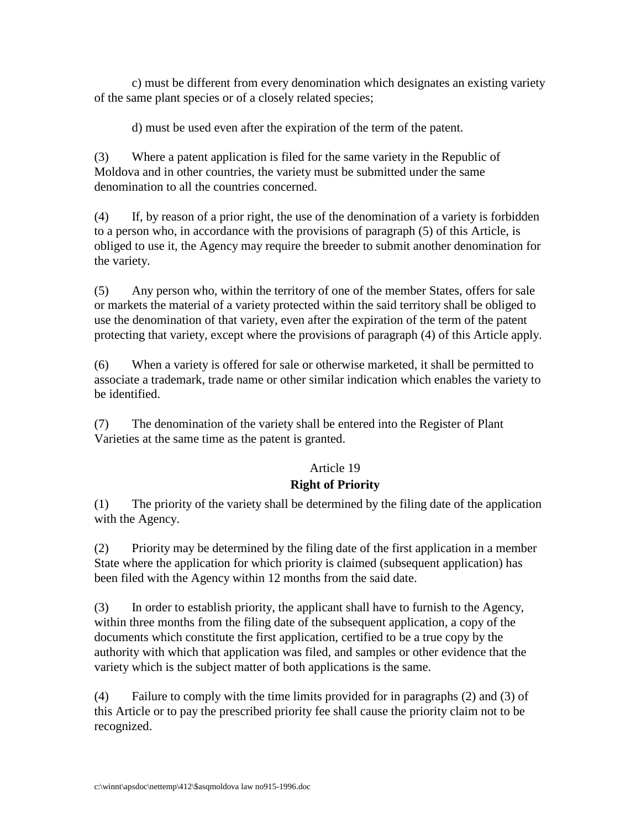c) must be different from every denomination which designates an existing variety of the same plant species or of a closely related species;

d) must be used even after the expiration of the term of the patent.

(3) Where a patent application is filed forthe same variety in the Republic of Moldova and in other countries, the variety must be submitted under the same denomination to all the countries concerned.

(4) If, by reason of a prior right, the use of the denomination of a variety is forbidden to a person who, in accordance with the provisions of paragraph (5) of this Article, is obliged to use it, the Agency may require the breeder to submitant here denomination for the variety.

(5) Any person who, within the territory of one of the member States, offers for sale or markets the material of a variety protected within the said territory shall be obliged to use the denomination of that variety, even after the expiration of the term of the patent protecting that variety, except where the provisions of paragraph (4) of this Article apply.

(6) When a variety is offered for sale or otherwise marketed, its hall be permitted to associate atrad emark, trade name or other similar indication which enables the variety to be identified.

(7) The denomination of the variety shall be entered into the Register of Plant Varieties at the same time as the patent is granted.

# Article 19

# **Right of Priority**

(1) The priority of the variety shall be determined by the filing date of the application with the Agency.

(2) Priority may be determined by the filing date of the first application in a member State where the application for which priority is claimed (s ubsequent application) has been filed with the Agency within 12 months from the saiddate.

(3) In order to establish priority, the applicant shall have to furnish to the Agency, within three months from the filing date of the subsequent application, a copy of the documents which constitute the first application, certified to be a true copy by the authority with which that application was filed, and samples or other evidence that the variety which is the subject matter of both applications is the same.

(4) Failure to comply with the time limits provided for in paragraphs (2) and (3) of this Article ortopay the prescribed priority feeshall cause the priority claim not to be recognized.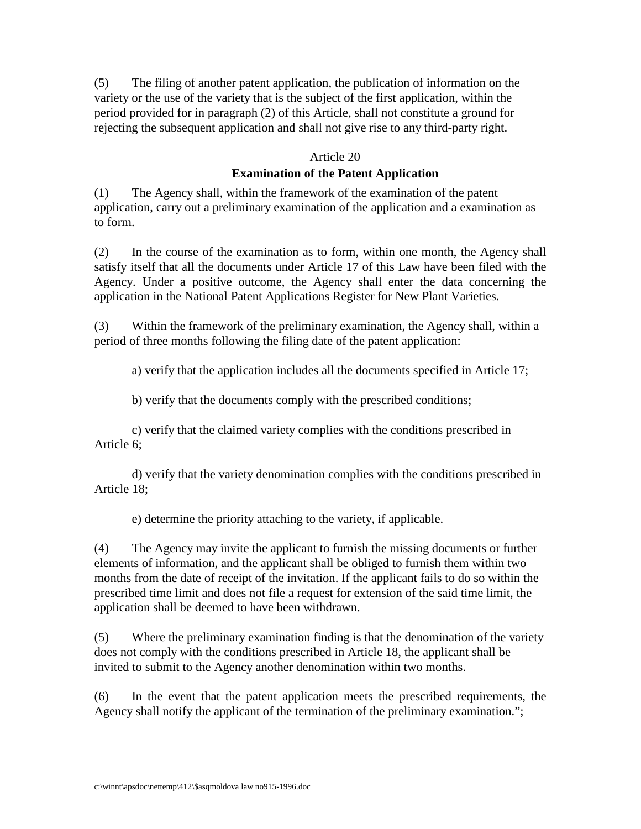(5) The filing of another patent application, the publication of information on the variety or the use of the variety that is the subject of the first application, within the period provided for in paragraph (2) of this Article, shall not constitute a ground for rejecting the subsequent application and shall not give rise to any third -party right.

#### Article 20

# **Examination of the Patent Application**

(1) The Agency shall, within the framework of the examination of the patent application, carry out a preliminary examination of the application and a examination as to form.

(2) In the course of the examination as to form, within one month, the Agency shall satisfy itself that all the documents under Article 17 of this Law have been filed with the Agency. Under a positive outcome, the Agency shall enter the data concerning the application in the National Patent Applications Register for New Plant Varieties.

(3) Within the framework of the preliminary examination, the Agency shall, within a period of three months following the filing date of the patent application:

a) verify that the application includes all the documents specified in Article 17;

b) verify that the documents comply with the prescribed conditions;

c) verify that the claimed variety complies with the conditions prescribed in Article 6;

d) verify that the va riety denomination complies with the conditions prescribed in Article 18;

e) determine the priority attaching to the variety, if applicable.

(4) The Agency may invite the applicant to furnish the missing documents or further elements of information, and the applicant shall be obliged to furnish them within two months from the date of receipt of the invitation. If the applicant fails to do so within the prescribed time limit and does not file a request for extension of the said time limit, the applicationshall be deemed to have been withdrawn.

(5) Where the preliminary examination finding is that the denomination of the variety does not comply with the conditions prescribed in Article 18, the applicant shall be invited to submitto the Agency another denomination with intwo months.

(6) In the event that the patent application meets the prescribed requirements, the Agency shall notify the applicant of the termination of the preliminary examination.";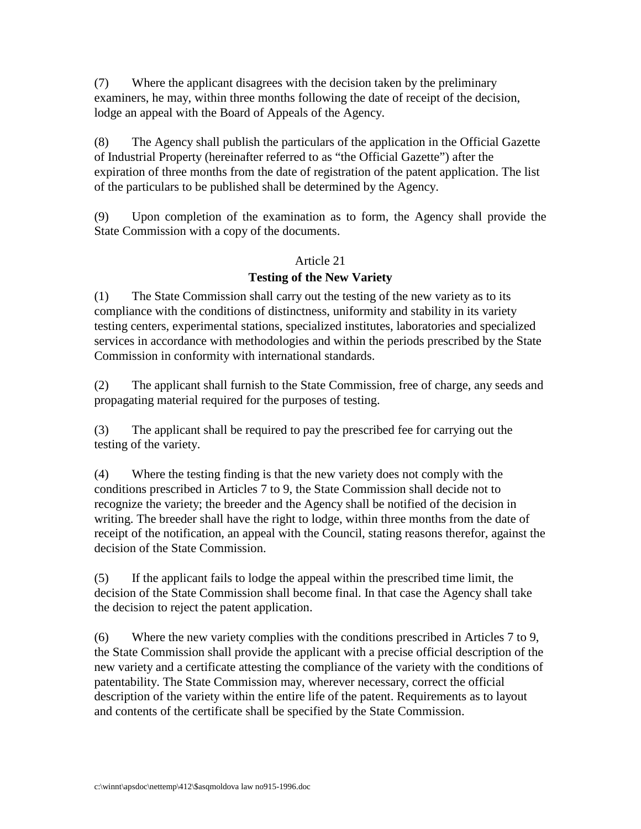(7) Where the applicant disagrees with the decisio ntaken by the preliminary examiners, he may, within three months following the date of receipt of the decision, lodge an appeal with the Board of Appeals of the Agency.

(8) The Agency shall publish the particulars of the application in the Official Gazette of Industrial Property (hereinafter referred to as "the Official Gazette") after the expiration of three months from the date of registration of the patent application. The list of the particulars to be published shall be determined by the Agency.

(9) Upon completion of the examination as to form, the Agency shall provide the StateCommission with a copy of the documents.

#### Article<sub>21</sub>

# **Testing of the New Variety**

(1) The State Commissions hall carry out the testing of the new variety as to its compliance with the conditions of distinctness, uniformity and stability in its variety testing centers, experimental stations, specialized institutes, laboratories and specialized services in accordance with methodologies and within the periods prescribed by the St ate Commission in conformity with international standards.

(2) The applicant shall furnish to the State Commission, free of charge, any seeds and propagating material required for the purposes of testing.

(3) The applicant shall be required to pay the prescribed feed for carrying out the testing of the variety.

(4) Where the testing finding is that the new variety does not comply with the conditions prescribed in Articles 7 to 9, the State Commissions hall decident to recognize the variety; the breeder and the Agency shall be notified of the decision in writing. The breedershall have the right to lodge, within three months from the date of receipt of the notification, an appeal with the Council, stating reasons therefor, against the decision of the State Commission.

(5) If the applicant fails to lodge the appeal within the prescribed time limit, the decision of the State Commissionshall become final. In that case the Agency shall take the decision to reject the patent application.

(6) Where the new va riety complies with the conditions prescribed in Articles 7 to 9, the State Commission shall provide the applicant with a precise official description of the new variety and a certificate attesting the compliance of the variety with the conditions of patentability. The State Commission may, wherever necessary, correct the official description of the variety within the entire life of the patent. Requirements as to layout and contents of the certificates hall be specified by the State Commission.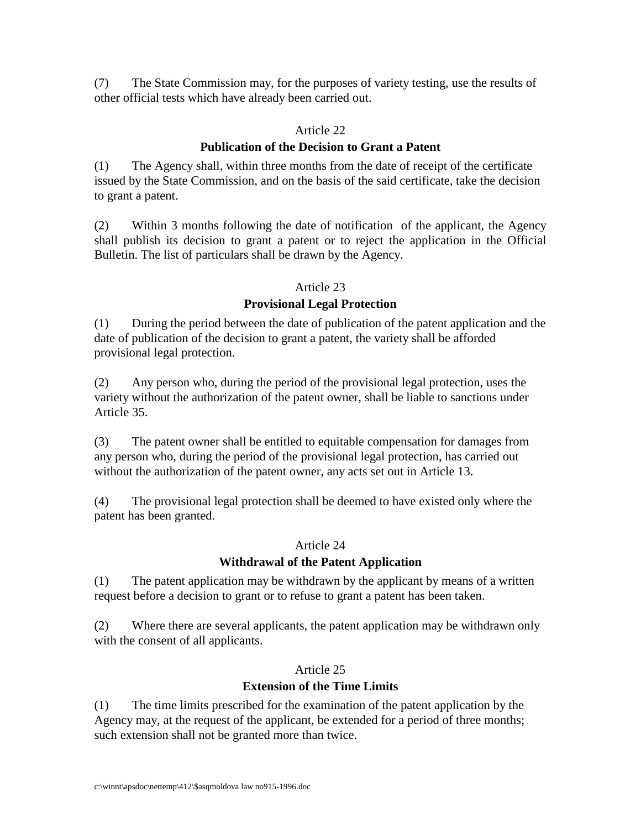(7) The Sta te Commission may, for the purposes of variety testing, use the results of other official tests which have already been carried out.

# Article 22

# **Publication of the Decision to Grant a Patent**

(1) The Agency shall, within three months from the date of receipt of the certificate issued by the State Commission, and on the basis of the said certificate, take the decision togrant apatent.

(2) Within 3 months following the date of notification of the applicant, the Agency shall publish its decision to grant a patent or to reject the application in the Official Bulletin. The list of particulars shall be drawn by the Agency.

# Article<sub>23</sub>

# **Provisional Legal Protection**

(1) During the period between the date of publication of the patent application and the date of publication of the decision to grant a patent, the variety shall be afforded provisional legal protection.

(2) Any person who, during the period of the provisional legal protection, uses the variety without the authorization of the patent owner, shall be li able to sanctions under Article 35.

(3) The patent owners hall be entitled to equitable compensation for damages from any person who, during the period of the provisional legal protection, has carried out without the authorization of the patent owner, any acts set out in Article 13.

(4) The provisional legal protections hall be deemed to have existed only where the patent has been granted.

# Article 24

# **Withdrawal of the Patent Application**

(1) The patent application may be withdrawn by the applicant by mean sof a written request before a decision to grant or to refuse to grant a patent has been taken.

(2) Where there are several applicants, the patent application may be withdrawn only with the consent of all applicants.

# Article 25

# **Extension of the Time Limits**

(1) The time limits prescribed for the examination of the patent application by the Agency may, at the request of the applicant, be extended for a period of three months; such extensions hall not be granted more than twice.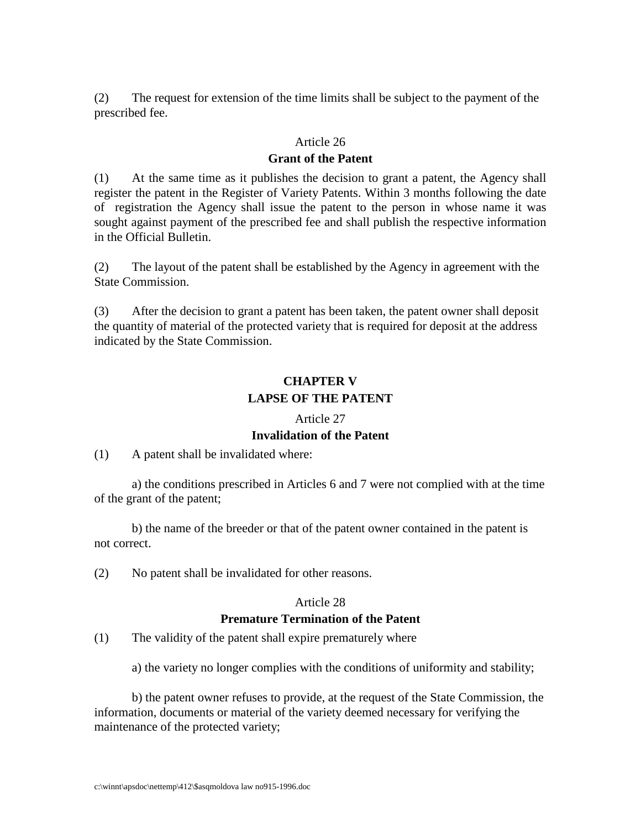(2) The request for extensi on of the time limits shall be subject to the payment of the prescribed fee.

#### Article 26

#### **Grant of the Patent**

(1) At the same time as it publishes the decision to grant a patent, the Agency shall register the patent in the Register of Variety Patents. Within 3 months following the date of registration the Agency shall issue the patent to the person in whose name it was sought against payment of the prescribed fee and shall publish the respective information in the Official Bulletin.

(2) The layout of the patent shall be established by the Agency in agreement with the State Commission.

(3) After the decision to grant a patent has been taken, the patent owners hall deposit the quantity of material of the protected variety that is required for deposit at the address indicated by the State Commission.

# **CHAPTER V LAPSE OF THE PATENT**

#### Article 27

#### **Invalidation of the Patent**

#### (1) Apatent shall be invalidated where:

a) the conditions prescribed in Articles 6 and 7 were not complied with at the time of the grant of the patent;

b) the name of the breeder or that of the patent owner contained in the patent is not correct.

(2) Nopatent shall be invalidated for other reasons.

#### Article 28

#### **Premature Termination of the Patent**

(1) The validity of the patent shall expire prematurely where

a) the variety nolonger complies with the conditions of uniformity and stability;

b) the patent owner refuses to provide, at the request of the State Commission, the information, documents or material of the variety deemed necessary for verifying the maintenance of the protected variety;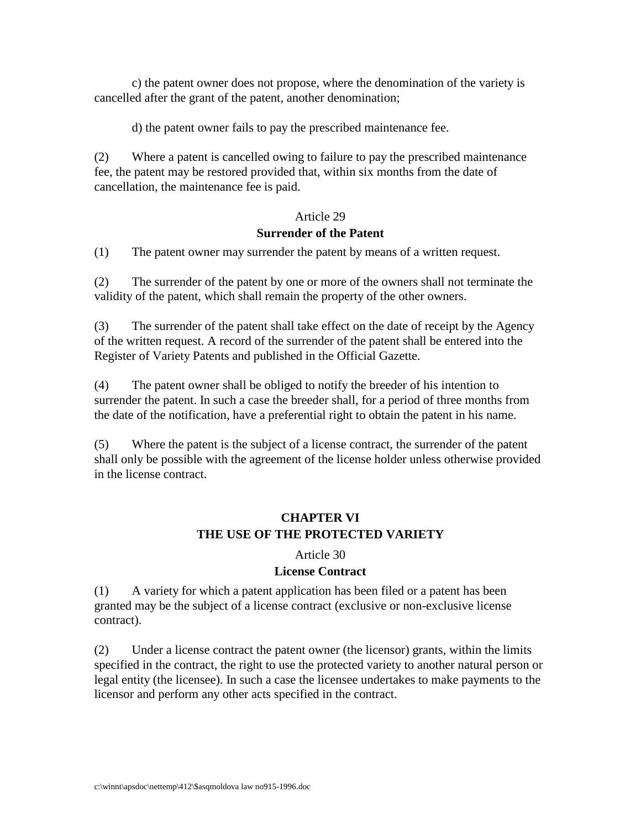c) the patent owner does not propose, where the denomination of the variety is cancelled after the grant of the patent, another denomination;

d) the patent owner fails to pay the prescribed maintenance fee.

 $(2)$  Where a patentiscancelled owing to failure to pay the prescribed maintenance fee, the patent may be restored provided that, within six months from the date of cancellation, the maintenance fee ispaid.

#### Article 29

#### **Surrender of the Patent**

(1) The patent owner may surrend erthe patent by means of a written request.

(2) The surrender of the patent by one or more of the owners shall not terminate the validity of the patent, which shall remain the property of the other owners.

(3) The surrender of the patent shall take effect on the date of receipt by the Agency of the written request. A record of the surrender of the patent shall be entered into the Register of Variety Patents and published in the Official Gazette.

(4) The patent ownershal lbe obliged to notify the breeder of his intention to surrender the patent. In such a case the breedershall, for a period of three months from the date of the notification, have a preferential right to obtain the patent in his name.

(5) Where the patent is the subject of a license contract, the surrender of the patent shall only be possible with the agreement of the license holder unless otherwise provided in the license contract.

# **CHAPTER VI THE USE OF THE PROTECTED VARIETY**

#### Article 30

# **License Contract**

(1) Avariety for which a patent application has been filed or a patent has been granted may be the subject of a license contract (exclusive or non -exclusive license contract).

(2) Underalicense contract the patent owner (the licensor) grants, within the limits specified in the contract, the right to use the protected variety to another natural person or legal entity (the licensee). In such a case the licensee undertakes to make payments to the licensor and perform any other acts specified in the contract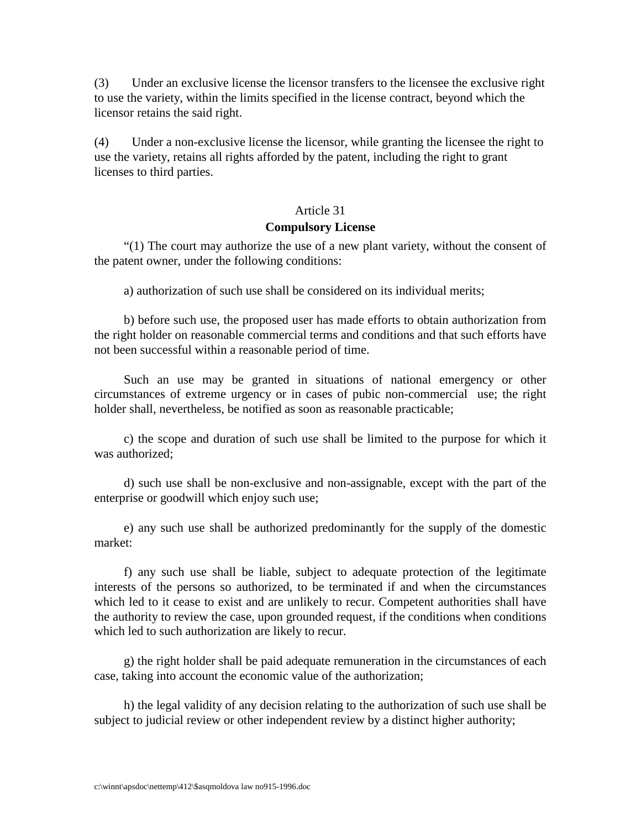(3) Under an exclusive license the licens ortransfers to the license ether sclusive right to use the variety, within the limits specified in the license contract, beyond which the licensorretains the said right.

(4) Under a non-exclusive license the licensor, while granting the license ether ight to use the variety, retains all rights afforded by the patent, including the right to grant licenses to third parties.

#### Article 31

#### **Compulsory License**

"(1) The court may authorize the use of a new plant variety without the consent of the patent owner, under the following conditions:

a) authorization of such uses hall be considered on its individual merits;

b) before such use, the proposed user has made efforts to obtain authorization from the right holder on reasonable commercial terms and conditions and that such efforts have not been successful within a reasonable period of time.

Such an use may be granted in situations of national emergency or other circumstances of extreme urgency or in cases of pubic non -commercial use; the right holdershall, nevertheless, benotified as soon as reasonable practicable;

c) the scope and duration of such use shall be limited to the purpose for which it was authorized:

d) such use shall be non -exclusive and non -assignable, except with the part of the enterprise or goodwill which enjoys uch use;

e) any such use shall be authorized predominantly for the supply of the domestic market:

f) any such use shall be liable, subject to adequate protection of the legitimate interests of the persons so authorized, to be terminated if and when the circumstances which led to it cease to exist and are unlikely to recur. Competent authorities shall have the authority to review the case, upon grounded request, if the conditions when conditions which led to such authorization are likely to recur.

g) the right holder shall be paid adequate remuneration in the circumstances of each case, taking into account the economic value of the authorization;

h) the legal validity of any decision relat ing to the authorization of such uses hall be subject to judicial review or other independent review by a distinct higher authority;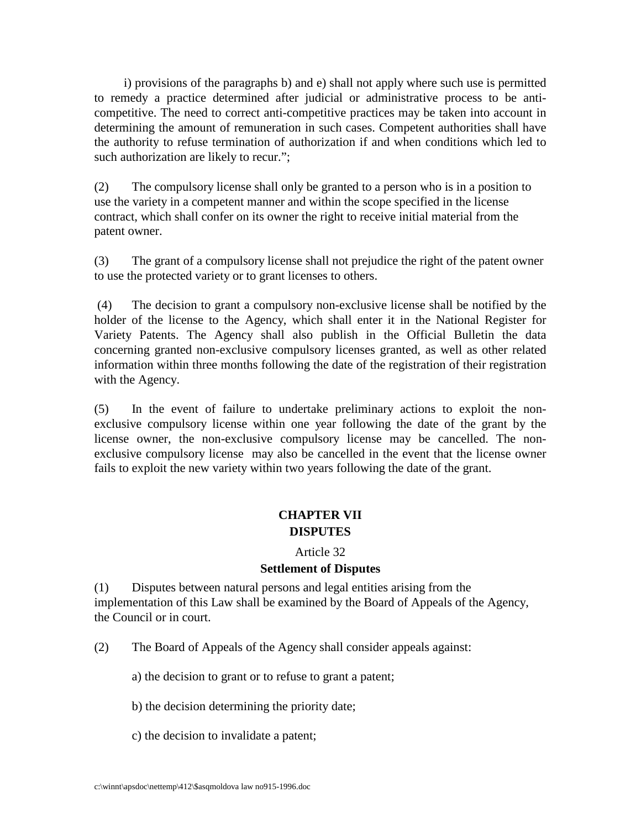i) provisions of the paragraphs b) and e) shall not apply where such use is permitted to remedy a practice determined after judicial or administrative process to be anti competitive. The need to correct anti -competitive practices may be taken into account in determining the amount of remuneration in such cases. Competent authorities shall have the authority to refuse terminat ion of authorization if and when conditions which led to such authorization are likely to recur.";

(2) The compulsory licenses hall only be granted to a person who is in a position to use the variety in a competent manner and within the scope specified in the license contract, which shall conferonits owner the right to receive initial material from the patent owner.

(3) The grant of a compulsory licenses hall not prejudice the right of the patent owner to use the protected variety ortogrant licenses to others.

 (4) The decision to grant a compulsory non -exclusive license shall be notified by the holder of the license to the Agency, which shall enter it in the National Register for Variety Patents. The Agency shall also publish in the Official Bulletin the data concerning granted non -exclusive compulsory licenses granted, as well as other related information within three months following the date of the registration of the irregistration with the Agency.

(5) In the event of failure to undertake prel iminary actions to exploit the non exclusive compulsory license within one year following the date of the grant by the license owner, the non -exclusive compulsory license may be cancelled. The non exclusive compulsory license may also be cancelled in the event that the license owner fails to exploit the new variety within two years following the date of the grant.

# **CHAPTER VII DISPUTES**

#### Article 32

# **Settlement of Disputes**

(1) Disputes between natural persons and legal entities arising from the implementation of this Law shall be examined by the Board of Appeals of the Agency, the Council or in court.

(2) The Board of Appeals of the Agency shall consider appeals against:

a) the decision to grant or to refuse to grant a patent;

b) the decision determining the priority date;

c) the decision to invalidate a patent;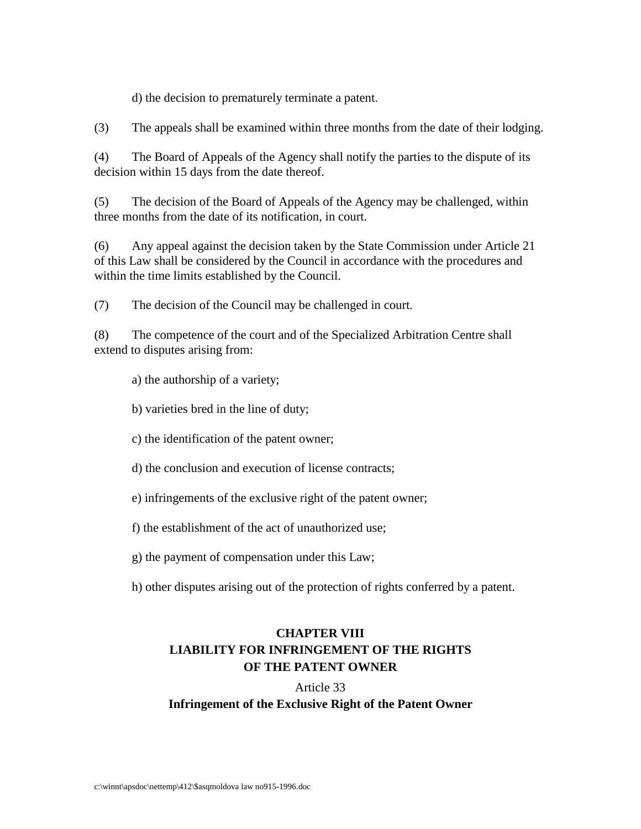d) the decision to prematurely terminate a patent.

(3) The appeals shall be examined within three months from the date of their lodging.

(4) The Board of Appeals of the Agency shall notify the parties to the dispute of its decision within 15 days from the date thereof.

(5) The decision of the Board of Appeals of the Agency may be challenged, within three months from the date of its notification, in court.

(6) Any appeal against the decision taken by the State Commission under Article 21 of this Law shall be considered by the Council in accordance with the procedures and within the time limits established by the Council.

(7) The decision of the Council may be challenged in court.

(8) The competence of the court and of the Specialized Arbitration Centreshall extend to dispute sarising from:

a) the authorship of a variety;

b) varieties bred in the line of duty;

c) the identification of the patent owner;

d) the conclusion and execution of license contracts;

e) infringements of the exclusive right of the patent owner;

f) the establishment of the act of unauthorized use;

g) the payment of compensation under this Law;

h) other disputes arising out of the protection of rights confe rred by a patent.

# **CHAPTER VIII LIABILITY FOR INFRINGEMENT OF THE RIGHTS OF THE PATENT OWNER**

Article 33 **Infringement of the Exclusive Right of the Patent Owner**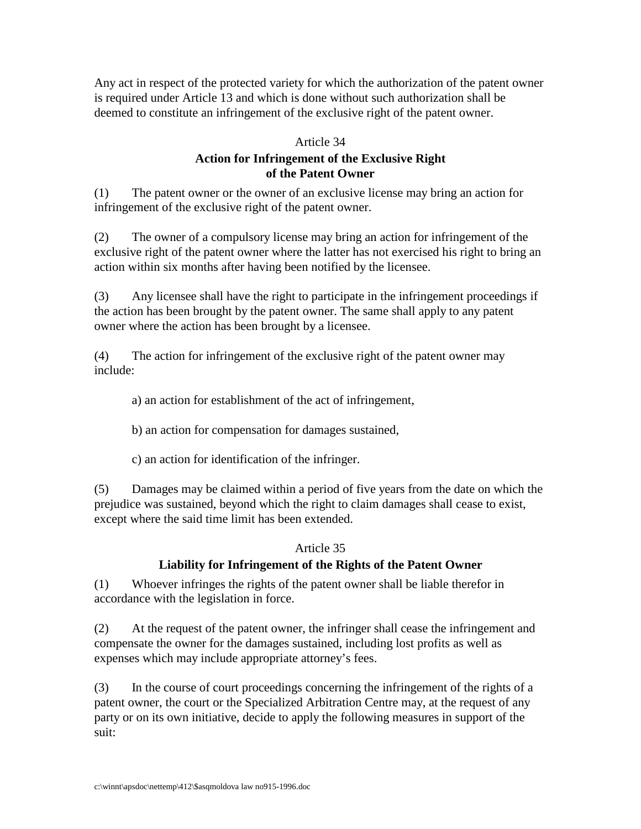Any act in respect of the protected variety for which the authorization of the patent owner is required under Article 13 and which is done without such authorizationshall be deemed to constitute an infringement of the exclusive right of the patent owner.

#### Article 34

# **Action for Infringement of the Exclusive Right of the Patent Owner**

(1) The patent owner of an exclusive license may bring an action for infringement of the exclusive right of the patent owner.

(2) The owner of a compulsory license may bring an action for infringement of the exclusiveright of the patent owner where the latter has not exercised his right to bring an action within six months after having been notified by the licensee.

(3) Any licensee shall have the right to participate in the infringement proceedings if the action has been brought by the patent owner. The sam eshall apply to any patent owner where the action has been brought by alicensee.

(4) The action for infringement of the exclusive right of the patent owner may include:

a) an action for establishment of the actor infringement,

b) an action for compensation for damages sustained,

c) an action for identification of the infringer.

(5) Damages may be claimed within a period of five years from the date on which the prejudice was sustained, beyond which the right to claim damages shall cease to exist, except where the said time limit has been extended.

# Article 35

# LiabilityforInfringementoftheRightsofthePatentOwner

(1) Whoever infringes the rights of the patent owners hall be liable therefor in accordance with the legislation in force.

(2) Atthe request of the patent owner, the infringer shall cease the infringement and compensate the owner for the damages sustained, including lost profits as well as expenses which may include appropriate attorney's fees.

(3) In the course of court proceeding sconcerning the infringement of the rights of a patent owner, the court or the Specialized Arbitration Centre may, at the request of any party or on its own initiative, decide to apply the following measures in support of the suit: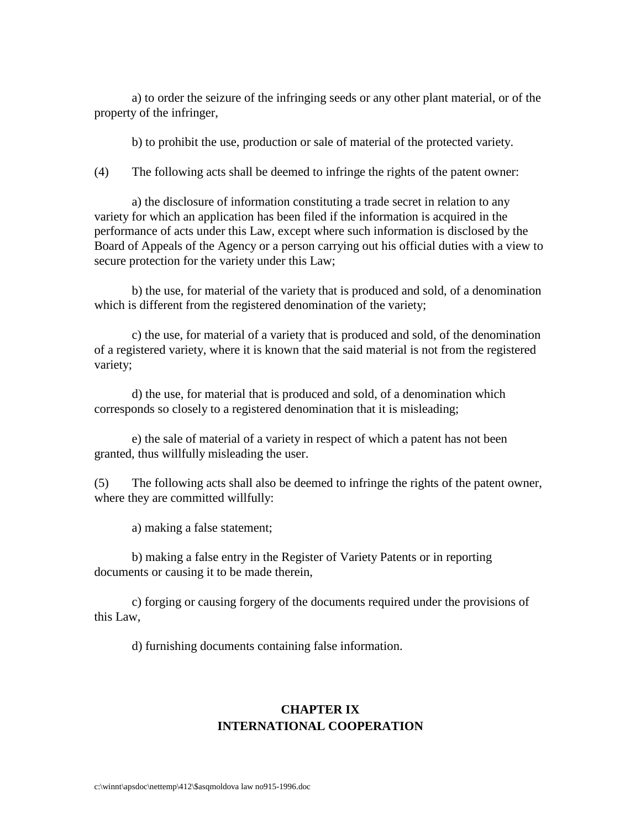a) to order these izure of the infringing seeds or any other plant material, or of the property of the infringer,

b) to prohibit the use, production or sale of material of the protected variety.

(4) The following acts shall be deemed to infringe the rights of the patent own er:

a) the disclosure of information constituting a trade secret in relation to any variety for which an application has been filed if the information is acquired in the performance of acts under this Law, except where such information is disclosed by the Board of Appeals of the Agency or a person carrying outh is official duties with a view to secure protection for the variety under this Law;

b) the use, formaterial of the variety that is produced and sold, of a denomination which is different from the eregistered denomination of the variety;

c) the use, formaterial of a variety that is produced and sold, of the denomination of a registered variety, where it is known that the said material is not from the registered variety;

d) the use, formaterial that is produced and sold, of a denomination which corresponds soclosely to a registered denomination that it is misleading;

e) the sale of material of a variety in respect of which a patent has not been granted, thus will full ymisleading the user.

(5) The following acts shall also be deemed to infringe the rights of the patent owner, where they are committed will fully:

a) making a false statement;

b) making a false entry in the Register of Variety Patents or in reporting documents or causing it to be made therein,

c) forging or causing forgery of the documents required under the provisions of this Law,

d) furnishing documents containing false information.

# **CHAPTERIX INTERNATIONAL COOPERATION**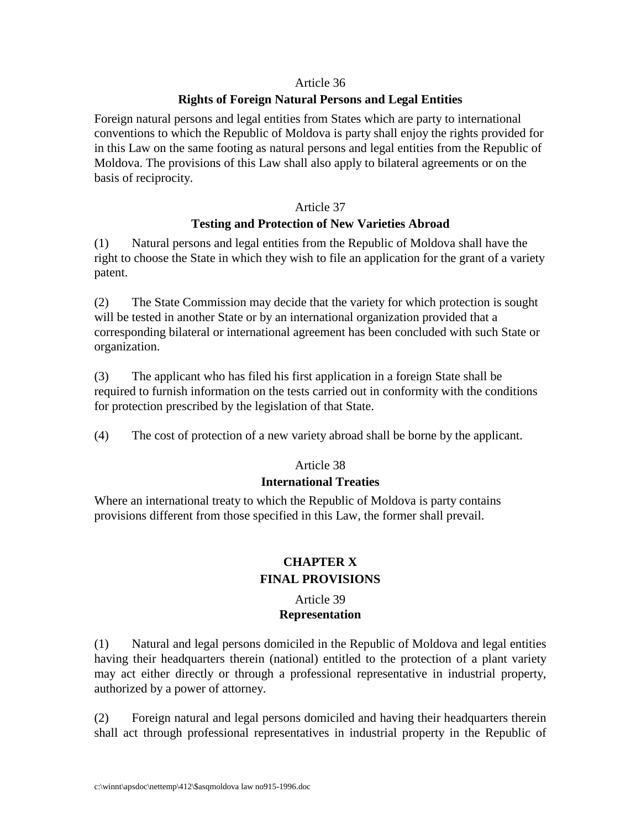### Article 36

# **Rights of Foreign Natural Persons and Le gal Entities**

Foreign natural persons and legal entities from States which are party to international conventions to which the Republic of Moldova is party shall enjoy the rights provided for in this Law on the same footing as natural persons and legal entities from the Republic of Moldova. The provisions of this Lawshall also apply to bilateral agreements or on the basis of reciprocity.

#### Article 37

# **Testing and Protection of New Varieties Abroad**

(1) Natural persons and legal entities from the Republic of Mo ldova shall have the right to choose the State in which they wish to file an application for the grant of a variety patent.

(2) The State Commission may decide that the variety for which protection is sought will be tested in another State or by an international organization provided that a corresponding bilateral or international agreement has been concluded with such State or organization.

(3) The applicant who has filed his first application in a foreign State shall be required to furnish information o nthe tests carried out inconformity with the conditions for protection prescribed by the legislation of that State.

(4) The cost of protection of a new variety abroad shall be borne by the applicant.

# Article 38

# **International Treaties**

Where an international treaty to which the Republic of Moldova is party contains provisions different from thoses pecified in this Law, the former shall prevail.

# **CHAPTER X FINAL PROVISIONS**

### Article 39 **Representation**

(1) Natural and legal persons domiciled in the Republic of Moldova and legal entities having their headquarters therein (national) entitled to the protection of a plant variety may act either directly or through a professional representative in industrial property, authorized by a power of attorney.

(2) Foreign natural and legal persons domiciled and having their headquarters therein shall act through professional representatives in industrial property in the Republic of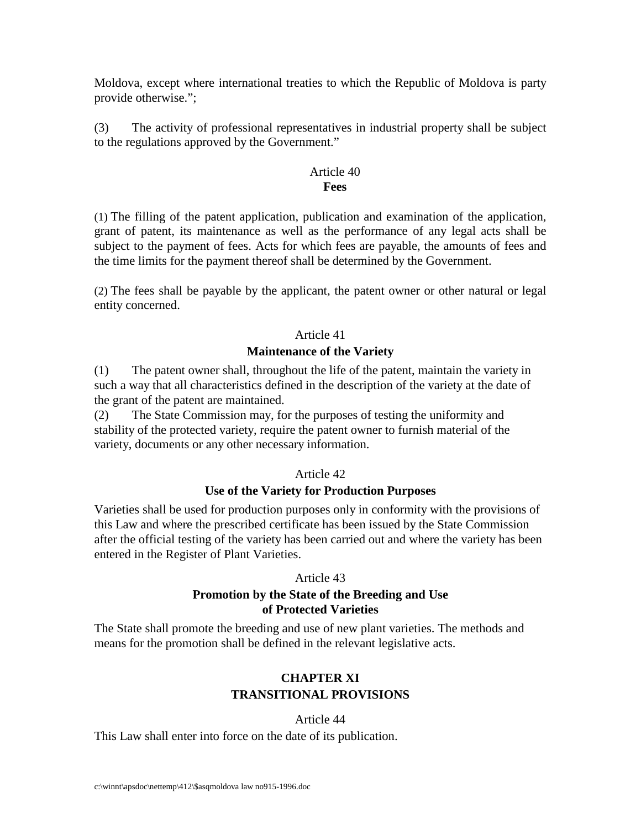Moldova, except where international treaties to which the Republic of Moldova is party provide otherwise.";

(3) The activity of professional representatives in industrial property shall be subject to the regulations approved by the Government."

#### Article<sub>40</sub> **Fees**

(1) The filling of the patent application, publication and examination of the application, grant of patent, its maintenance as well as the performance of any legal acts shall be subject to the payment of fees. Acts for which fees are payable, the amounts of fees and the time limits for the payment thereof shall be determined by the Govern ment.

(2) The fees shall be payable by the applicant, the patent owner or other natural or legal entity concerned.

# Article<sub>41</sub>

# **Maintenance of the Variety**

(1) The patent owners hall, throughout the life of the patent, maintain the variety in such a way that all character is tics defined in the description of the variety at the date of the grant of the patent are maintained.

(2) The State Commission may, for the purposes of testing the uniformity and stability of the protected variety, require the patent owner to furnish material of the variety, documents or any other necessary information.

# Article<sub>42</sub>

# **Use of the Variety for Production Purposes**

Varieties shall be used for production purposes only in conformity with the provisions of this Law and where the prescribed certificate has been issued by the State Commission after the official testing of the variety has been carried out and where the variety has been entered in the Register of Plant Varieties.

# Article<sub>43</sub>

# **Promotion by the State of the Breeding and Use of Pro tected Varieties**

The State shall promote the breeding and use of new plant varieties. The methods and means for the promotions hall be defined in the relevant legislative acts.

# **CHAPTER XI TRANSITIONAL PROVISIONS**

# Article 44

This Law shall enter into force on the date of its publication.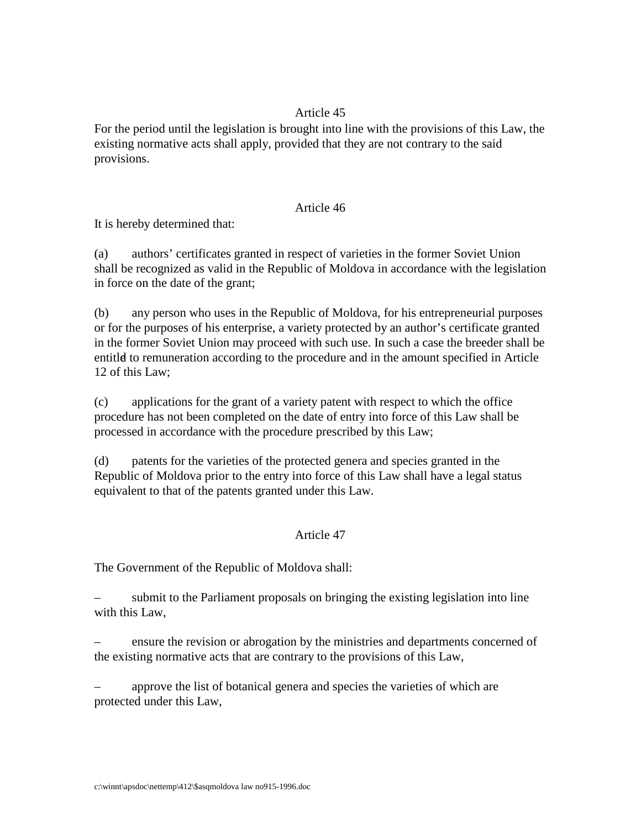# Article<sub>45</sub>

For the period until the legislation is brought into line with the provisions of this Law, the existing normative acts shall apply, provided that they are not contrary to the said provisions.

#### Article<sub>46</sub>

Itish erebydetermined that:

(a) authors' certificates granted in respect of varieties in the former Soviet Union shall be recognized as valid in the Republic of Moldovain accordance with the legislation inforce on the date of the grant;

(b) any person who uses in the Republic of Moldova, for his entrepreneurial purposes orforthepurposes of his enterprise, a variety protected by an author's certificate granted in the former Soviet Union may proceed with such use. In such a case the breedershall be entitled to remuneration according to the procedure and in the amount specified in Article 12 of this Law:

(c) applications for the grant of a variety patent with respect to which the office procedure has not been completed on the date of entry into force of this Law shall be processed in accordance with the procedure prescribed by this Law;

(d) patents for the varieties of the protected genera and species granted in the Republic of Moldova prior to the entry into force of this Lawshall have a legal status equivalent to that of the patents granted under this Law.

# Article<sub>47</sub>

The Government of the Republic of Moldovashall:

submitto the Parliament proposals on bringing the existing legislation into line with this Law.

– ensure the revision or abrogation by the ministries and departments concerned of the existing normative acts that are contrary to the provisions of this Law,

approve the list of botanical genera and species the varieties of which are protected under this Law,